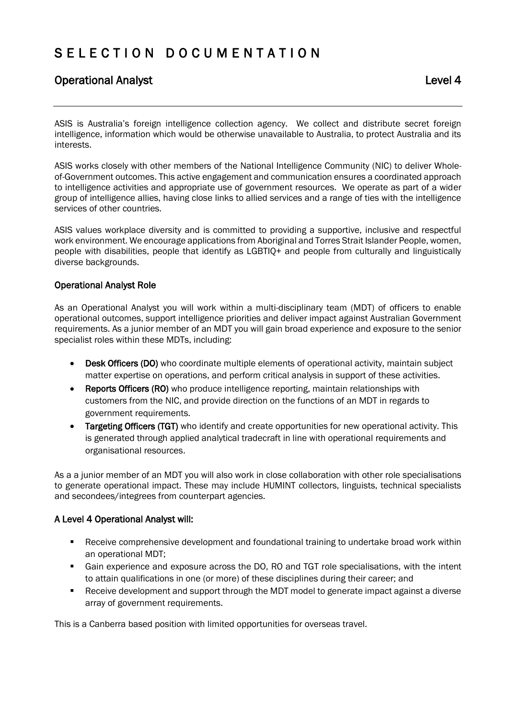# S E L E C T I O N D O C U M E N T A T I O N

## Operational AnalystLevel 4

ASIS is Australia's foreign intelligence collection agency. We collect and distribute secret foreign intelligence, information which would be otherwise unavailable to Australia, to protect Australia and its interests.

ASIS works closely with other members of the National Intelligence Community (NIC) to deliver Wholeof-Government outcomes. This active engagement and communication ensures a coordinated approach to intelligence activities and appropriate use of government resources. We operate as part of a wider group of intelligence allies, having close links to allied services and a range of ties with the intelligence services of other countries.

ASIS values workplace diversity and is committed to providing a supportive, inclusive and respectful work environment. We encourage applications from Aboriginal and Torres Strait Islander People, women, people with disabilities, people that identify as LGBTIQ+ and people from culturally and linguistically diverse backgrounds.

#### Operational Analyst Role

As an Operational Analyst you will work within a multi-disciplinary team (MDT) of officers to enable operational outcomes, support intelligence priorities and deliver impact against Australian Government requirements. As a junior member of an MDT you will gain broad experience and exposure to the senior specialist roles within these MDTs, including:

- Desk Officers (DO) who coordinate multiple elements of operational activity, maintain subject matter expertise on operations, and perform critical analysis in support of these activities.
- Reports Officers (RO) who produce intelligence reporting, maintain relationships with customers from the NIC, and provide direction on the functions of an MDT in regards to government requirements.
- Targeting Officers (TGT) who identify and create opportunities for new operational activity. This is generated through applied analytical tradecraft in line with operational requirements and organisational resources.

As a a junior member of an MDT you will also work in close collaboration with other role specialisations to generate operational impact. These may include HUMINT collectors, linguists, technical specialists and secondees/integrees from counterpart agencies.

#### A Level 4 Operational Analyst will:

- Receive comprehensive development and foundational training to undertake broad work within an operational MDT;
- Gain experience and exposure across the DO, RO and TGT role specialisations, with the intent to attain qualifications in one (or more) of these disciplines during their career; and
- Receive development and support through the MDT model to generate impact against a diverse array of government requirements.

This is a Canberra based position with limited opportunities for overseas travel.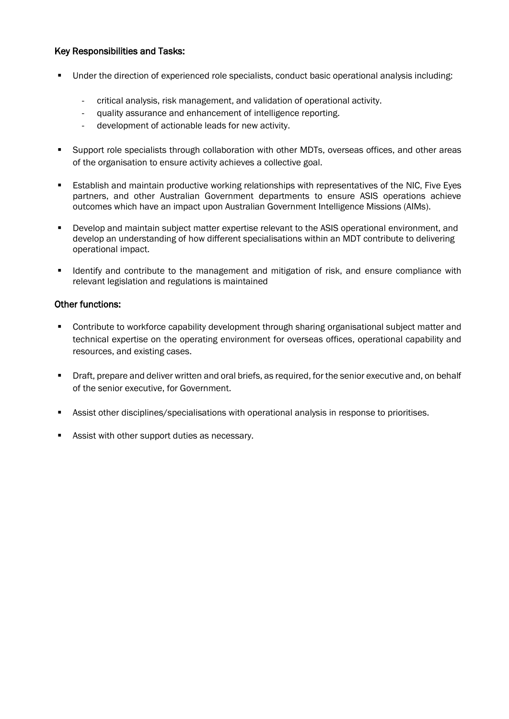#### Key Responsibilities and Tasks:

- Under the direction of experienced role specialists, conduct basic operational analysis including:
	- critical analysis, risk management, and validation of operational activity.
	- quality assurance and enhancement of intelligence reporting.
	- development of actionable leads for new activity.
- Support role specialists through collaboration with other MDTs, overseas offices, and other areas of the organisation to ensure activity achieves a collective goal.
- Establish and maintain productive working relationships with representatives of the NIC, Five Eyes partners, and other Australian Government departments to ensure ASIS operations achieve outcomes which have an impact upon Australian Government Intelligence Missions (AIMs).
- Develop and maintain subject matter expertise relevant to the ASIS operational environment, and develop an understanding of how different specialisations within an MDT contribute to delivering operational impact.
- Identify and contribute to the management and mitigation of risk, and ensure compliance with relevant legislation and regulations is maintained

#### Other functions:

- Contribute to workforce capability development through sharing organisational subject matter and technical expertise on the operating environment for overseas offices, operational capability and resources, and existing cases.
- **•** Draft, prepare and deliver written and oral briefs, as required, for the senior executive and, on behalf of the senior executive, for Government.
- **Assist other disciplines/specialisations with operational analysis in response to prioritises.**
- **Assist with other support duties as necessary.**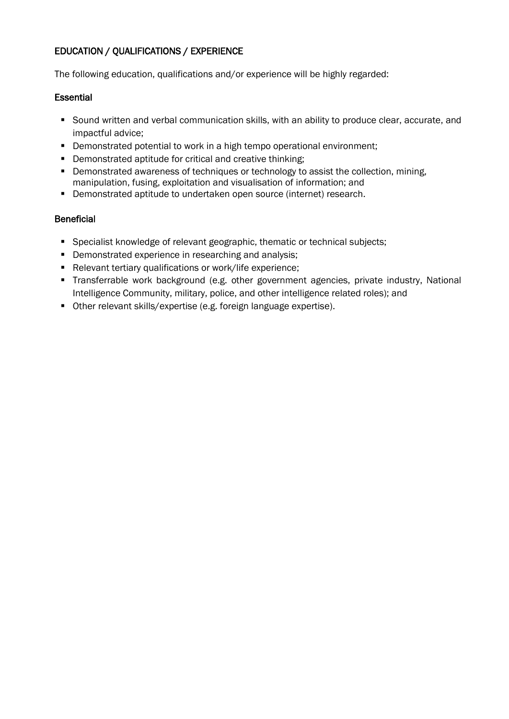## EDUCATION / QUALIFICATIONS / EXPERIENCE

The following education, qualifications and/or experience will be highly regarded:

#### **Essential**

- Sound written and verbal communication skills, with an ability to produce clear, accurate, and impactful advice;
- Demonstrated potential to work in a high tempo operational environment;
- Demonstrated aptitude for critical and creative thinking;
- **Demonstrated awareness of techniques or technology to assist the collection, mining,** manipulation, fusing, exploitation and visualisation of information; and
- Demonstrated aptitude to undertaken open source (internet) research.

## **Beneficial**

- **Specialist knowledge of relevant geographic, thematic or technical subjects;**
- **•** Demonstrated experience in researching and analysis;
- Relevant tertiary qualifications or work/life experience;
- Transferrable work background (e.g. other government agencies, private industry, National Intelligence Community, military, police, and other intelligence related roles); and
- Other relevant skills/expertise (e.g. foreign language expertise).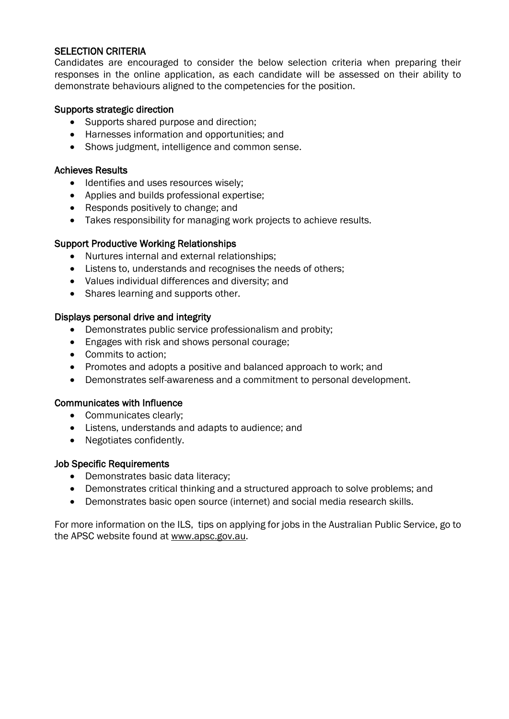## SELECTION CRITERIA

Candidates are encouraged to consider the below selection criteria when preparing their responses in the online application, as each candidate will be assessed on their ability to demonstrate behaviours aligned to the competencies for the position.

#### Supports strategic direction

- Supports shared purpose and direction;
- Harnesses information and opportunities; and
- Shows judgment, intelligence and common sense.

#### Achieves Results

- Identifies and uses resources wisely;
- Applies and builds professional expertise;
- Responds positively to change; and
- Takes responsibility for managing work projects to achieve results.

#### Support Productive Working Relationships

- Nurtures internal and external relationships;
- Listens to, understands and recognises the needs of others;
- Values individual differences and diversity; and
- Shares learning and supports other.

#### Displays personal drive and integrity

- Demonstrates public service professionalism and probity;
- Engages with risk and shows personal courage:
- Commits to action;
- Promotes and adopts a positive and balanced approach to work; and
- Demonstrates self-awareness and a commitment to personal development.

#### Communicates with Influence

- Communicates clearly:
- Listens, understands and adapts to audience; and
- Negotiates confidently.

#### Job Specific Requirements

- Demonstrates basic data literacy;
- Demonstrates critical thinking and a structured approach to solve problems; and
- Demonstrates basic open source (internet) and social media research skills.

For more information on the ILS, tips on applying for jobs in the Australian Public Service, go to the APSC website found at [www.apsc.gov.au.](http://www.apsc.gov.au/)